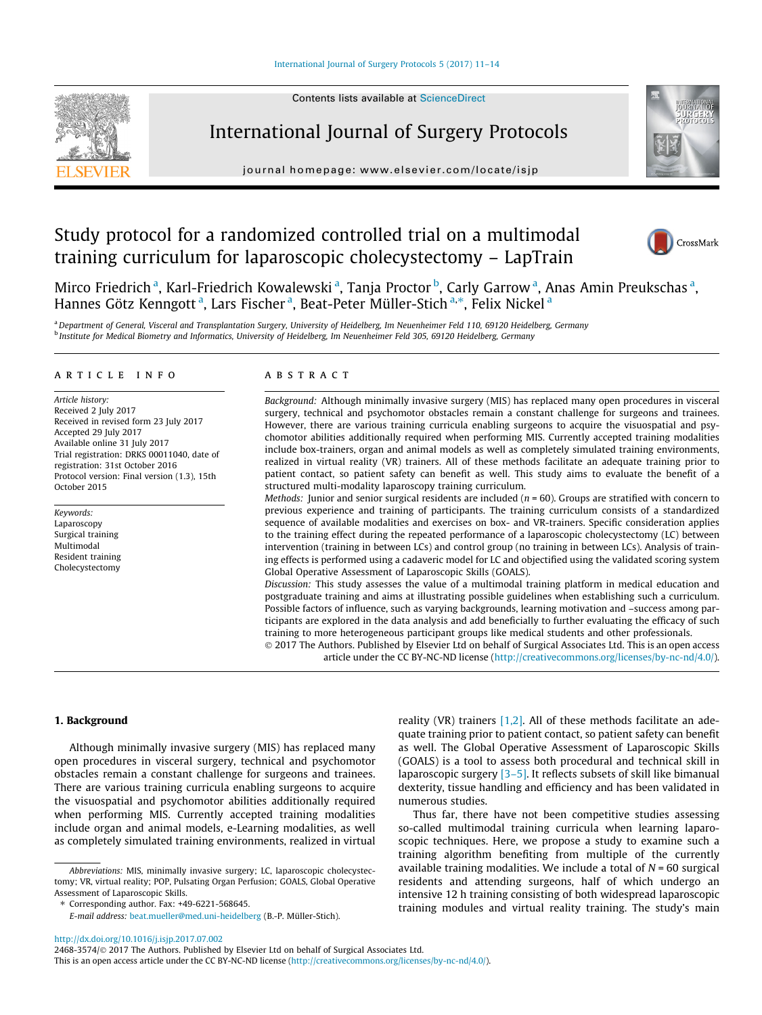# International Journal of Surgery Protocols

journal homepage: [www.elsevier.com/locate/isjp](http://www.elsevier.com/locate/isjp)



# Study protocol for a randomized controlled trial on a multimodal training curriculum for laparoscopic cholecystectomy – LapTrain



Mirco Friedrich <sup>a</sup>, Karl-Friedrich Kowalewski <sup>a</sup>, Tanja Proctor <sup>b</sup>, Carly Garrow <sup>a</sup>, Anas Amin Preukschas <sup>a</sup>, Hannes Götz Kenngott<sup>a</sup>, Lars Fischer<sup>a</sup>, Beat-Peter Müller-Stich<sup>a,\*</sup>, Felix Nickel<sup>a</sup>

a Department of General, Visceral and Transplantation Surgery, University of Heidelberg, Im Neuenheimer Feld 110, 69120 Heidelberg, Germany <sup>b</sup> Institute for Medical Biometry and Informatics, University of Heidelberg, Im Neuenheimer Feld 305, 69120 Heidelberg, Germany

# article info

Article history: Received 2 July 2017 Received in revised form 23 July 2017 Accepted 29 July 2017 Available online 31 July 2017 Trial registration: DRKS 00011040, date of registration: 31st October 2016 Protocol version: Final version (1.3), 15th October 2015

Keywords: Laparoscopy Surgical training Multimodal Resident training Cholecystectomy

## ABSTRACT

Background: Although minimally invasive surgery (MIS) has replaced many open procedures in visceral surgery, technical and psychomotor obstacles remain a constant challenge for surgeons and trainees. However, there are various training curricula enabling surgeons to acquire the visuospatial and psychomotor abilities additionally required when performing MIS. Currently accepted training modalities include box-trainers, organ and animal models as well as completely simulated training environments, realized in virtual reality (VR) trainers. All of these methods facilitate an adequate training prior to patient contact, so patient safety can benefit as well. This study aims to evaluate the benefit of a structured multi-modality laparoscopy training curriculum.

*Methods:* Junior and senior surgical residents are included ( $n = 60$ ). Groups are stratified with concern to previous experience and training of participants. The training curriculum consists of a standardized sequence of available modalities and exercises on box- and VR-trainers. Specific consideration applies to the training effect during the repeated performance of a laparoscopic cholecystectomy (LC) between intervention (training in between LCs) and control group (no training in between LCs). Analysis of training effects is performed using a cadaveric model for LC and objectified using the validated scoring system Global Operative Assessment of Laparoscopic Skills (GOALS).

Discussion: This study assesses the value of a multimodal training platform in medical education and postgraduate training and aims at illustrating possible guidelines when establishing such a curriculum. Possible factors of influence, such as varying backgrounds, learning motivation and –success among participants are explored in the data analysis and add beneficially to further evaluating the efficacy of such training to more heterogeneous participant groups like medical students and other professionals.

 2017 The Authors. Published by Elsevier Ltd on behalf of Surgical Associates Ltd. This is an open access article under the CC BY-NC-ND license (<http://creativecommons.org/licenses/by-nc-nd/4.0/>).

## 1. Background

Although minimally invasive surgery (MIS) has replaced many open procedures in visceral surgery, technical and psychomotor obstacles remain a constant challenge for surgeons and trainees. There are various training curricula enabling surgeons to acquire the visuospatial and psychomotor abilities additionally required when performing MIS. Currently accepted training modalities include organ and animal models, e-Learning modalities, as well as completely simulated training environments, realized in virtual

reality (VR) trainers  $[1,2]$ . All of these methods facilitate an adequate training prior to patient contact, so patient safety can benefit as well. The Global Operative Assessment of Laparoscopic Skills (GOALS) is a tool to assess both procedural and technical skill in laparoscopic surgery  $\left[3-5\right]$ . It reflects subsets of skill like bimanual dexterity, tissue handling and efficiency and has been validated in numerous studies.

Thus far, there have not been competitive studies assessing so-called multimodal training curricula when learning laparoscopic techniques. Here, we propose a study to examine such a training algorithm benefiting from multiple of the currently available training modalities. We include a total of  $N = 60$  surgical residents and attending surgeons, half of which undergo an intensive 12 h training consisting of both widespread laparoscopic training modules and virtual reality training. The study's main

<http://dx.doi.org/10.1016/j.isjp.2017.07.002>

Abbreviations: MIS, minimally invasive surgery; LC, laparoscopic cholecystectomy; VR, virtual reality; POP, Pulsating Organ Perfusion; GOALS, Global Operative Assessment of Laparoscopic Skills.

<sup>⇑</sup> Corresponding author. Fax: +49-6221-568645.

E-mail address: [beat.mueller@med.uni-heidelberg](mailto:beat.mueller@med.uni-heidelberg) (B.-P. Müller-Stich).

<sup>2468-3574/© 2017</sup> The Authors. Published by Elsevier Ltd on behalf of Surgical Associates Ltd.

This is an open access article under the CC BY-NC-ND license ([http://creativecommons.org/licenses/by-nc-nd/4.0/\)](http://creativecommons.org/licenses/by-nc-nd/4.0/).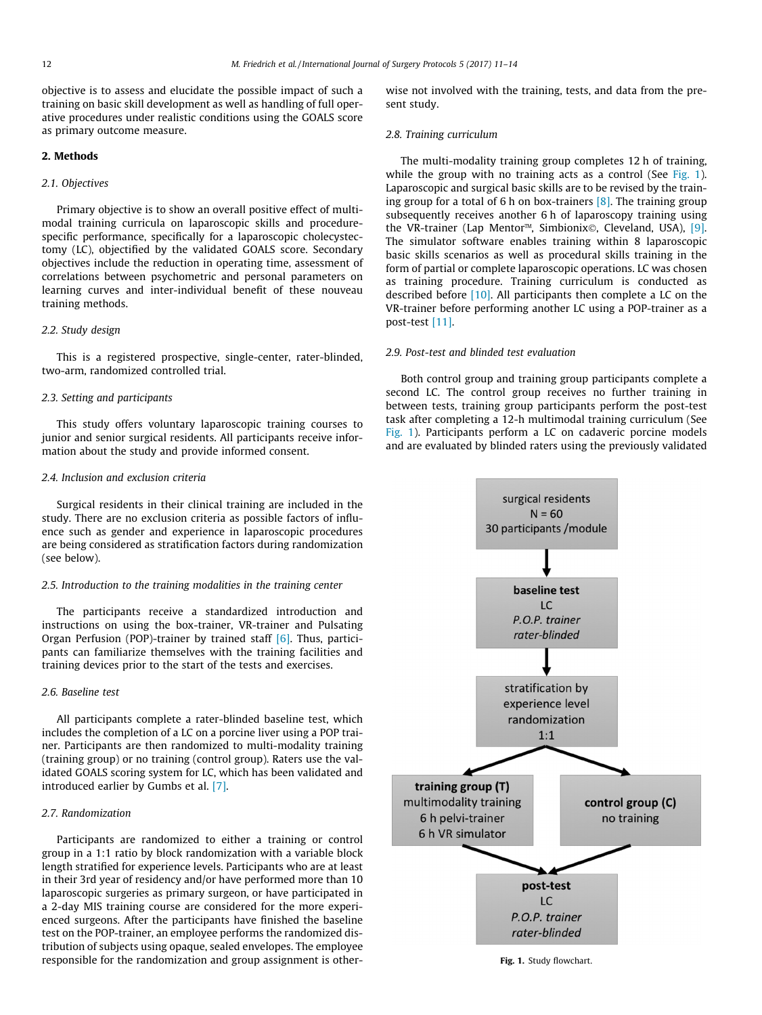objective is to assess and elucidate the possible impact of such a training on basic skill development as well as handling of full operative procedures under realistic conditions using the GOALS score as primary outcome measure.

# 2. Methods

## 2.1. Objectives

Primary objective is to show an overall positive effect of multimodal training curricula on laparoscopic skills and procedurespecific performance, specifically for a laparoscopic cholecystectomy (LC), objectified by the validated GOALS score. Secondary objectives include the reduction in operating time, assessment of correlations between psychometric and personal parameters on learning curves and inter-individual benefit of these nouveau training methods.

## 2.2. Study design

This is a registered prospective, single-center, rater-blinded, two-arm, randomized controlled trial.

## 2.3. Setting and participants

This study offers voluntary laparoscopic training courses to junior and senior surgical residents. All participants receive information about the study and provide informed consent.

## 2.4. Inclusion and exclusion criteria

Surgical residents in their clinical training are included in the study. There are no exclusion criteria as possible factors of influence such as gender and experience in laparoscopic procedures are being considered as stratification factors during randomization (see below).

## 2.5. Introduction to the training modalities in the training center

The participants receive a standardized introduction and instructions on using the box-trainer, VR-trainer and Pulsating Organ Perfusion (POP)-trainer by trained staff [\[6\].](#page-3-0) Thus, participants can familiarize themselves with the training facilities and training devices prior to the start of the tests and exercises.

## 2.6. Baseline test

All participants complete a rater-blinded baseline test, which includes the completion of a LC on a porcine liver using a POP trainer. Participants are then randomized to multi-modality training (training group) or no training (control group). Raters use the validated GOALS scoring system for LC, which has been validated and introduced earlier by Gumbs et al. [\[7\].](#page-3-0)

# 2.7. Randomization

Participants are randomized to either a training or control group in a 1:1 ratio by block randomization with a variable block length stratified for experience levels. Participants who are at least in their 3rd year of residency and/or have performed more than 10 laparoscopic surgeries as primary surgeon, or have participated in a 2-day MIS training course are considered for the more experienced surgeons. After the participants have finished the baseline test on the POP-trainer, an employee performs the randomized distribution of subjects using opaque, sealed envelopes. The employee responsible for the randomization and group assignment is otherwise not involved with the training, tests, and data from the present study.

# 2.8. Training curriculum

The multi-modality training group completes 12 h of training, while the group with no training acts as a control (See Fig. 1). Laparoscopic and surgical basic skills are to be revised by the training group for a total of 6 h on box-trainers  $[8]$ . The training group subsequently receives another 6 h of laparoscopy training using the VR-trainer (Lap Mentor<sup>m</sup>, Simbionix©, Cleveland, USA), [\[9\].](#page-3-0) The simulator software enables training within 8 laparoscopic basic skills scenarios as well as procedural skills training in the form of partial or complete laparoscopic operations. LC was chosen as training procedure. Training curriculum is conducted as described before [\[10\].](#page-3-0) All participants then complete a LC on the VR-trainer before performing another LC using a POP-trainer as a post-test [\[11\]](#page-3-0).

# 2.9. Post-test and blinded test evaluation

Both control group and training group participants complete a second LC. The control group receives no further training in between tests, training group participants perform the post-test task after completing a 12-h multimodal training curriculum (See Fig. 1). Participants perform a LC on cadaveric porcine models and are evaluated by blinded raters using the previously validated



Fig. 1. Study flowchart.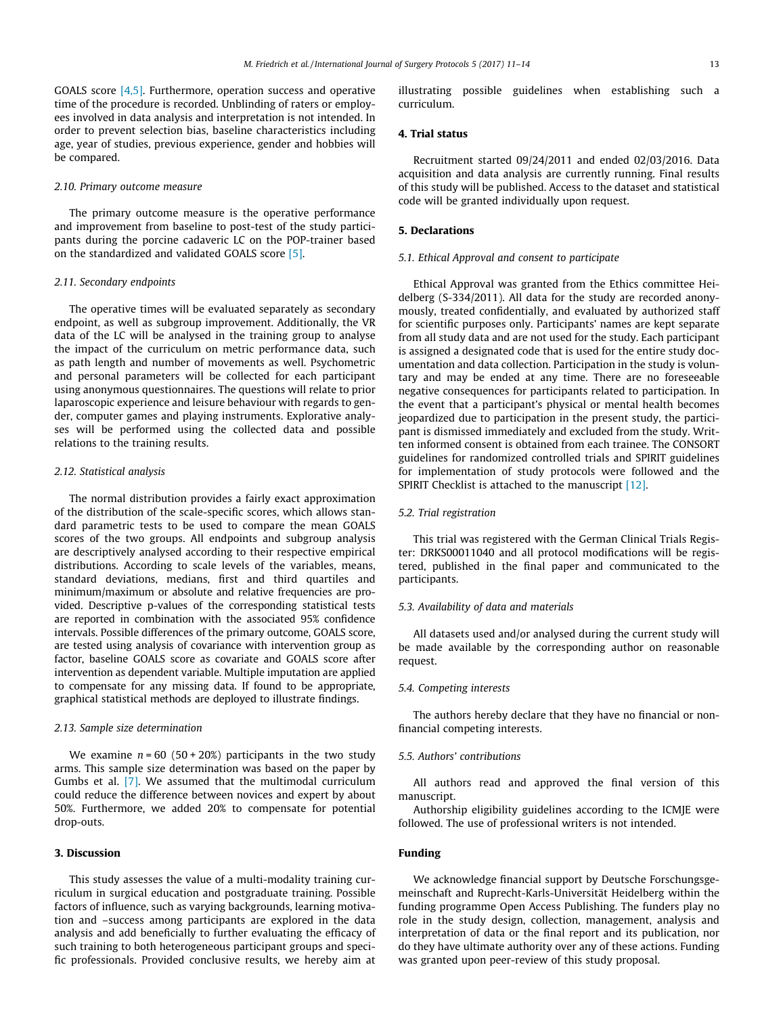GOALS score [\[4,5\].](#page-3-0) Furthermore, operation success and operative time of the procedure is recorded. Unblinding of raters or employees involved in data analysis and interpretation is not intended. In order to prevent selection bias, baseline characteristics including age, year of studies, previous experience, gender and hobbies will be compared.

## 2.10. Primary outcome measure

The primary outcome measure is the operative performance and improvement from baseline to post-test of the study participants during the porcine cadaveric LC on the POP-trainer based on the standardized and validated GOALS score [\[5\]](#page-3-0).

#### 2.11. Secondary endpoints

The operative times will be evaluated separately as secondary endpoint, as well as subgroup improvement. Additionally, the VR data of the LC will be analysed in the training group to analyse the impact of the curriculum on metric performance data, such as path length and number of movements as well. Psychometric and personal parameters will be collected for each participant using anonymous questionnaires. The questions will relate to prior laparoscopic experience and leisure behaviour with regards to gender, computer games and playing instruments. Explorative analyses will be performed using the collected data and possible relations to the training results.

## 2.12. Statistical analysis

The normal distribution provides a fairly exact approximation of the distribution of the scale-specific scores, which allows standard parametric tests to be used to compare the mean GOALS scores of the two groups. All endpoints and subgroup analysis are descriptively analysed according to their respective empirical distributions. According to scale levels of the variables, means, standard deviations, medians, first and third quartiles and minimum/maximum or absolute and relative frequencies are provided. Descriptive p-values of the corresponding statistical tests are reported in combination with the associated 95% confidence intervals. Possible differences of the primary outcome, GOALS score, are tested using analysis of covariance with intervention group as factor, baseline GOALS score as covariate and GOALS score after intervention as dependent variable. Multiple imputation are applied to compensate for any missing data. If found to be appropriate, graphical statistical methods are deployed to illustrate findings.

## 2.13. Sample size determination

We examine  $n = 60 (50 + 20%)$  participants in the two study arms. This sample size determination was based on the paper by Gumbs et al. [\[7\]](#page-3-0). We assumed that the multimodal curriculum could reduce the difference between novices and expert by about 50%. Furthermore, we added 20% to compensate for potential drop-outs.

## 3. Discussion

This study assesses the value of a multi-modality training curriculum in surgical education and postgraduate training. Possible factors of influence, such as varying backgrounds, learning motivation and –success among participants are explored in the data analysis and add beneficially to further evaluating the efficacy of such training to both heterogeneous participant groups and specific professionals. Provided conclusive results, we hereby aim at

illustrating possible guidelines when establishing such a curriculum.

## 4. Trial status

Recruitment started 09/24/2011 and ended 02/03/2016. Data acquisition and data analysis are currently running. Final results of this study will be published. Access to the dataset and statistical code will be granted individually upon request.

# 5. Declarations

## 5.1. Ethical Approval and consent to participate

Ethical Approval was granted from the Ethics committee Heidelberg (S-334/2011). All data for the study are recorded anonymously, treated confidentially, and evaluated by authorized staff for scientific purposes only. Participants' names are kept separate from all study data and are not used for the study. Each participant is assigned a designated code that is used for the entire study documentation and data collection. Participation in the study is voluntary and may be ended at any time. There are no foreseeable negative consequences for participants related to participation. In the event that a participant's physical or mental health becomes jeopardized due to participation in the present study, the participant is dismissed immediately and excluded from the study. Written informed consent is obtained from each trainee. The CONSORT guidelines for randomized controlled trials and SPIRIT guidelines for implementation of study protocols were followed and the SPIRIT Checklist is attached to the manuscript [\[12\].](#page-3-0)

## 5.2. Trial registration

This trial was registered with the German Clinical Trials Register: DRKS00011040 and all protocol modifications will be registered, published in the final paper and communicated to the participants.

### 5.3. Availability of data and materials

All datasets used and/or analysed during the current study will be made available by the corresponding author on reasonable request.

## 5.4. Competing interests

The authors hereby declare that they have no financial or nonfinancial competing interests.

## 5.5. Authors' contributions

All authors read and approved the final version of this manuscript.

Authorship eligibility guidelines according to the ICMJE were followed. The use of professional writers is not intended.

## Funding

We acknowledge financial support by Deutsche Forschungsgemeinschaft and Ruprecht-Karls-Universität Heidelberg within the funding programme Open Access Publishing. The funders play no role in the study design, collection, management, analysis and interpretation of data or the final report and its publication, nor do they have ultimate authority over any of these actions. Funding was granted upon peer-review of this study proposal.